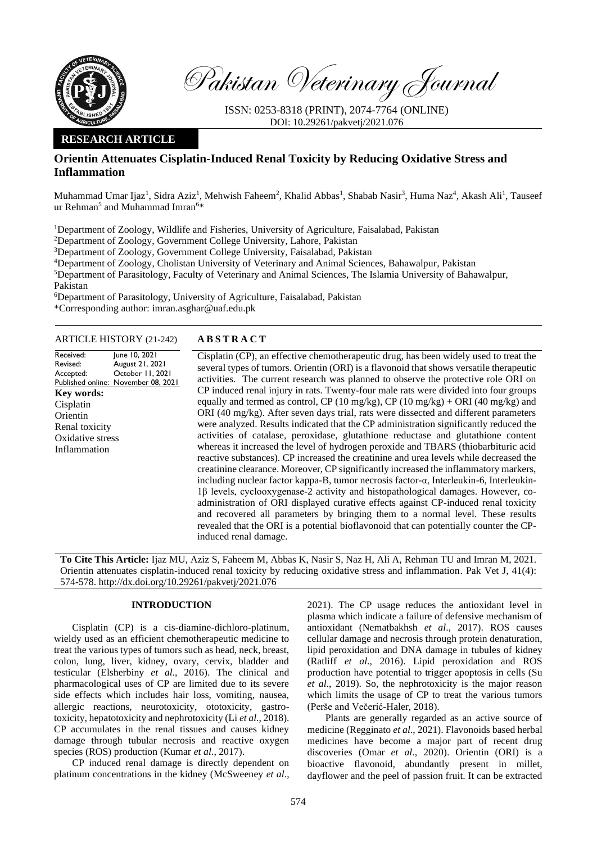

Pakistan Veterinary Journal

ISSN: 0253-8318 (PRINT), 2074-7764 (ONLINE) DOI: 10.29261/pakvetj/2021.076

# **RESEARCH ARTICLE**

# **Orientin Attenuates Cisplatin-Induced Renal Toxicity by Reducing Oxidative Stress and Inflammation**

Muhammad Umar Ijaz<sup>1</sup>, Sidra Aziz<sup>1</sup>, Mehwish Faheem<sup>2</sup>, Khalid Abbas<sup>1</sup>, Shabab Nasir<sup>3</sup>, Huma Naz<sup>4</sup>, Akash Ali<sup>1</sup>, Tauseef ur Rehman<sup>5</sup> and Muhammad Imran<sup>6\*</sup>

<sup>1</sup>Department of Zoology, Wildlife and Fisheries, University of Agriculture, Faisalabad, Pakistan

<sup>2</sup>Department of Zoology, Government College University, Lahore, Pakistan

<sup>3</sup>Department of Zoology, Government College University, Faisalabad, Pakistan

<sup>4</sup>Department of Zoology, Cholistan University of Veterinary and Animal Sciences, Bahawalpur, Pakistan

<sup>5</sup>Department of Parasitology, Faculty of Veterinary and Animal Sciences, The Islamia University of Bahawalpur,

Pakistan

<sup>6</sup>Department of Parasitology, University of Agriculture, Faisalabad, Pakistan

\*Corresponding author: [imran.asghar@uaf.edu.pk](mailto:imran.asghar@uaf.edu.pk)

### ARTICLE HISTORY (21-242) **A B S T R A C T**

| Received:<br>Revised: | June 10, 2021<br>August 21, 2021                        | Cisplatin (CP), an effec                               |  |  |  |
|-----------------------|---------------------------------------------------------|--------------------------------------------------------|--|--|--|
| Accepted:             | October 11, 2021<br>Published online: November 08, 2021 | several types of tumors.<br>activities. The current    |  |  |  |
| Key words:            |                                                         | CP induced renal injury                                |  |  |  |
| Cisplatin             |                                                         | equally and termed as c                                |  |  |  |
| Orientin              |                                                         | ORI (40 mg/kg). After                                  |  |  |  |
| Renal toxicity        |                                                         | were analyzed. Results                                 |  |  |  |
| Oxidative stress      |                                                         | activities of catalase,                                |  |  |  |
| Inflammation          |                                                         | whereas it increased the<br>$\cdots$ $\cdots$ $\cdots$ |  |  |  |

tive chemotherapeutic drug, has been widely used to treat the Orientin (ORI) is a flavonoid that shows versatile therapeutic research was planned to observe the protective role ORI on in rats. Twenty-four male rats were divided into four groups ontrol, CP (10 mg/kg), CP (10 mg/kg) + ORI (40 mg/kg) and seven days trial, rats were dissected and different parameters indicated that the CP administration significantly reduced the peroxidase, glutathione reductase and glutathione content level of hydrogen peroxide and TBARS (thiobarbituric acid reactive substances). CP increased the creatinine and urea levels while decreased the creatinine clearance. Moreover, CP significantly increased the inflammatory markers, including nuclear factor kappa-B, tumor necrosis factor-α, Interleukin-6, Interleukin-1β levels, cyclooxygenase-2 activity and histopathological damages. However, coadministration of ORI displayed curative effects against CP-induced renal toxicity and recovered all parameters by bringing them to a normal level. These results revealed that the ORI is a potential bioflavonoid that can potentially counter the CPinduced renal damage.

**To Cite This Article:** Ijaz MU, Aziz S, Faheem M, Abbas K, Nasir S, Naz H, Ali A, Rehman TU and Imran M, 2021. Orientin attenuates cisplatin-induced renal toxicity by reducing oxidative stress and inflammation. Pak Vet J, 41(4): 574-578[. http://dx.doi.org/10.29261/pakvetj/2021.076](http://pvj.com.pk/pdf-files/41_4/574-578.pdf)

# **INTRODUCTION**

Cisplatin (CP) is a cis-diamine-dichloro-platinum, wieldy used as an efficient chemotherapeutic medicine to treat the various types of tumors such as head, neck, breast, colon, lung, liver, kidney, ovary, cervix, bladder and testicular (Elsherbiny *et al*., 2016). The clinical and pharmacological uses of CP are limited due to its severe side effects which includes hair loss, vomiting, nausea, allergic reactions, neurotoxicity, ototoxicity, gastrotoxicity, hepatotoxicity and nephrotoxicity (Li *et al*., 2018). CP accumulates in the renal tissues and causes kidney damage through tubular necrosis and reactive oxygen species (ROS) production (Kumar *et al*., 2017).

CP induced renal damage is directly dependent on platinum concentrations in the kidney (McSweeney *et al*.,

2021). The CP usage reduces the antioxidant level in plasma which indicate a failure of defensive mechanism of antioxidant (Nematbakhsh *et al*., 2017). ROS causes cellular damage and necrosis through protein denaturation, lipid peroxidation and DNA damage in tubules of kidney (Ratliff *et al*., 2016). Lipid peroxidation and ROS production have potential to trigger apoptosis in cells (Su *et al*., 2019). So, the nephrotoxicity is the major reason which limits the usage of CP to treat the various tumors (Perše and Večerić-Haler, 2018).

Plants are generally regarded as an active source of medicine (Regginato *et al*., 2021). Flavonoids based herbal medicines have become a major part of recent drug discoveries (Omar *et al*., 2020). Orientin (ORI) is a bioactive flavonoid, abundantly present in millet, dayflower and the peel of passion fruit. It can be extracted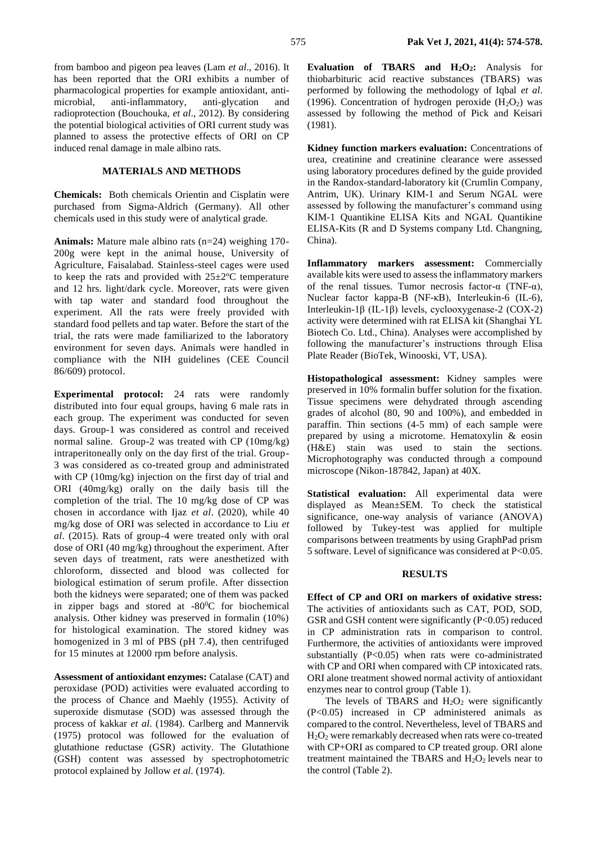from bamboo and pigeon pea leaves (Lam *et al*., 2016). It has been reported that the ORI exhibits a number of pharmacological properties for example antioxidant, antimicrobial, anti-inflammatory, anti-glycation and radioprotection (Bouchouka, *et al*., 2012). By considering the potential biological activities of ORI current study was planned to assess the protective effects of ORI on CP induced renal damage in male albino rats.

# **MATERIALS AND METHODS**

**Chemicals:** Both chemicals Orientin and Cisplatin were purchased from Sigma-Aldrich (Germany). All other chemicals used in this study were of analytical grade.

**Animals:** Mature male albino rats (n=24) weighing 170- 200g were kept in the animal house, University of Agriculture, Faisalabad. Stainless-steel cages were used to keep the rats and provided with  $25\pm2\degree$ C temperature and 12 hrs. light/dark cycle. Moreover, rats were given with tap water and standard food throughout the experiment. All the rats were freely provided with standard food pellets and tap water. Before the start of the trial, the rats were made familiarized to the laboratory environment for seven days. Animals were handled in compliance with the NIH guidelines (CEE Council 86/609) protocol.

**Experimental protocol:** 24 rats were randomly distributed into four equal groups, having 6 male rats in each group. The experiment was conducted for seven days. Group-1 was considered as control and received normal saline. Group-2 was treated with CP (10mg/kg) intraperitoneally only on the day first of the trial. Group-3 was considered as co-treated group and administrated with CP (10mg/kg) injection on the first day of trial and ORI (40mg/kg) orally on the daily basis till the completion of the trial. The 10 mg/kg dose of CP was chosen in accordance with Ijaz *et al*. (2020), while 40 mg/kg dose of ORI was selected in accordance to Liu *et al*. (2015). Rats of group-4 were treated only with oral dose of ORI (40 mg/kg) throughout the experiment. After seven days of treatment, rats were anesthetized with chloroform, dissected and blood was collected for biological estimation of serum profile. After dissection both the kidneys were separated; one of them was packed in zipper bags and stored at  $-80^{\circ}$ C for biochemical analysis. Other kidney was preserved in formalin (10%) for histological examination. The stored kidney was homogenized in 3 ml of PBS (pH 7.4), then centrifuged for 15 minutes at 12000 rpm before analysis.

**Assessment of antioxidant enzymes:** Catalase (CAT) and peroxidase (POD) activities were evaluated according to the process of Chance and Maehly (1955). Activity of superoxide dismutase (SOD) was assessed through the process of kakkar *et al*. (1984). Carlberg and Mannervik (1975) protocol was followed for the evaluation of glutathione reductase (GSR) activity. The Glutathione (GSH) content was assessed by spectrophotometric protocol explained by Jollow *et al*. (1974).

**Evaluation of TBARS and H2O2:** Analysis for thiobarbituric acid reactive substances (TBARS) was performed by following the methodology of Iqbal *et al*. (1996). Concentration of hydrogen peroxide  $(H_2O_2)$  was assessed by following the method of Pick and Keisari (1981).

**Kidney function markers evaluation:** Concentrations of urea, creatinine and creatinine clearance were assessed using laboratory procedures defined by the guide provided in the Randox-standard-laboratory kit (Crumlin Company, Antrim, UK). Urinary KIM-1 and Serum NGAL were assessed by following the manufacturer's command using KIM-1 Quantikine ELISA Kits and NGAL Quantikine ELISA-Kits (R and D Systems company Ltd. Changning, China).

**Inflammatory markers assessment:** Commercially available kits were used to assess the inflammatory markers of the renal tissues. Tumor necrosis factor- $\alpha$  (TNF- $\alpha$ ), Nuclear factor kappa-B (NF-κB), Interleukin-6 (IL-6), Interleukin-1β (IL-1β) levels, cyclooxygenase-2 (COX-2) activity were determined with rat ELISA kit (Shanghai YL Biotech Co. Ltd., China). Analyses were accomplished by following the manufacturer's instructions through Elisa Plate Reader (BioTek, Winooski, VT, USA).

**Histopathological assessment:** Kidney samples were preserved in 10% formalin buffer solution for the fixation. Tissue specimens were dehydrated through ascending grades of alcohol (80, 90 and 100%), and embedded in paraffin. Thin sections (4-5 mm) of each sample were prepared by using a microtome. Hematoxylin & eosin (H&E) stain was used to stain the sections. Microphotography was conducted through a compound microscope (Nikon-187842, Japan) at 40X.

**Statistical evaluation:** All experimental data were displayed as Mean±SEM. To check the statistical significance, one-way analysis of variance (ANOVA) followed by Tukey-test was applied for multiple comparisons between treatments by using GraphPad prism 5 software. Level of significance was considered at P<0.05.

#### **RESULTS**

**Effect of CP and ORI on markers of oxidative stress:** The activities of antioxidants such as CAT, POD, SOD, GSR and GSH content were significantly (P<0.05) reduced in CP administration rats in comparison to control. Furthermore, the activities of antioxidants were improved substantially  $(P<0.05)$  when rats were co-administrated with CP and ORI when compared with CP intoxicated rats. ORI alone treatment showed normal activity of antioxidant enzymes near to control group (Table 1).

The levels of TBARS and  $H_2O_2$  were significantly (P<0.05) increased in CP administered animals as compared to the control. Nevertheless, level of TBARS and H2O<sup>2</sup> were remarkably decreased when rats were co-treated with CP+ORI as compared to CP treated group. ORI alone treatment maintained the TBARS and  $H_2O_2$  levels near to the control (Table 2).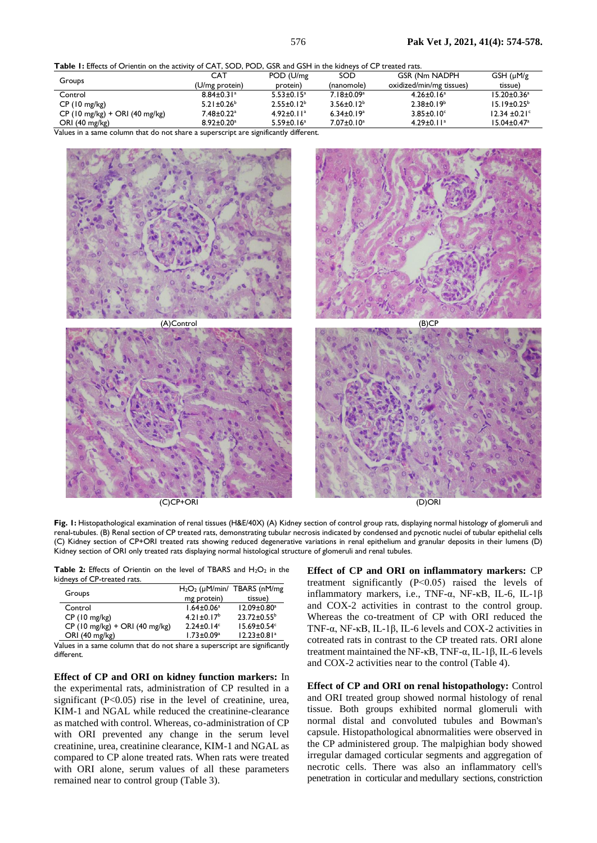**Table 1:** Effects of Orientin on the activity of CAT, SOD, POD, GSR and GSH in the kidneys of CP treated rats.

|                                                | <b>CAT</b>                   | POD (U/mg)                   | SOD                          | <b>GSR (Nm NADPH)</b>        | GSH (µM/g)                    |
|------------------------------------------------|------------------------------|------------------------------|------------------------------|------------------------------|-------------------------------|
| Groups                                         | (U/mg protein)               | protein)                     | (nanomole)                   | oxidized/min/mg tissues)     | tissue)                       |
| Control                                        | $8.84 \pm 0.31$ <sup>a</sup> | $5.53 \pm 0.15^a$            | $7.18 \pm 0.09^a$            | $4.26 \pm 0.16^a$            | $15.20 \pm 0.36^a$            |
| $CP(10 \text{ mg/kg})$                         | $5.21 \pm 0.26^b$            | $2.55 \pm 0.12^b$            | $3.56 \pm 0.12^b$            | $2.38 \pm 0.19^b$            | $15.19 \pm 0.25^{\circ}$      |
| $CP(10 \text{ mg/kg}) + ORI(40 \text{ mg/kg})$ | 7.48±0.22ª                   | $4.92 \pm 0.11$ <sup>a</sup> | $6.34 \pm 0.19$ <sup>a</sup> | $3.85 \pm 0.10^{\circ}$      | $12.34 \pm 0.21$ °            |
| ORI $(40 \text{ mg/kg})$                       | $8.92 \pm 0.20$ <sup>a</sup> | $5.59 \pm 0.16$ <sup>a</sup> | $7.07 \pm 0.10^a$            | $4.29 \pm 0.11$ <sup>a</sup> | $15.04 \pm 0.47$ <sup>a</sup> |

Values in a same column that do not share a superscript are significantly different.



Fig. 1: Histopathological examination of renal tissues (H&E/40X) (A) Kidney section of control group rats, displaying normal histology of glomeruli and renal-tubules. (B) Renal section of CP treated rats, demonstrating tubular necrosis indicated by condensed and pycnotic nuclei of tubular epithelial cells (C) Kidney section of CP+ORI treated rats showing reduced degenerative variations in renal epithelium and granular deposits in their lumens (D)

Kidney section of ORI only treated rats displaying normal histological structure of glomeruli and renal tubules.

Table 2: Effects of Orientin on the level of TBARS and H<sub>2</sub>O<sub>2</sub> in the kidneys of CP-treated rats.

|                                                |                              | $H_2O_2$ ( $\mu$ M/min/ TBARS (nM/mg) |  |
|------------------------------------------------|------------------------------|---------------------------------------|--|
| Groups                                         | mg protein)                  | tissue)                               |  |
| Control                                        | $1.64 \pm 0.06^a$            | $12.09 \pm 0.80^a$                    |  |
| $CP(10 \text{ mg/kg})$                         | $4.21 \pm 0.17^b$            | $23.72 \pm 0.55^{\circ}$              |  |
| $CP(10 \text{ mg/kg}) + ORI(40 \text{ mg/kg})$ | $2.24 \pm 0.14$ <sup>c</sup> | $15.69 \pm 0.54$ <sup>c</sup>         |  |
| ORI (40 mg/kg)                                 | $1.73 \pm 0.09^a$            | $12.23 \pm 0.81$ <sup>a</sup>         |  |

Values in a same column that do not share a superscript are significantly different.

**Effect of CP and ORI on kidney function markers:** In the experimental rats, administration of CP resulted in a significant  $(P<0.05)$  rise in the level of creatinine, urea, KIM-1 and NGAL while reduced the creatinine-clearance as matched with control. Whereas, co-administration of CP with ORI prevented any change in the serum level creatinine, urea, creatinine clearance, KIM-1 and NGAL as compared to CP alone treated rats. When rats were treated with ORI alone, serum values of all these parameters remained near to control group (Table 3).

**Effect of CP and ORI on inflammatory markers:** CP treatment significantly (P˂0.05) raised the levels of inflammatory markers, i.e., TNF-α, NF-κB, IL-6, IL-1β and COX-2 activities in contrast to the control group. Whereas the co-treatment of CP with ORI reduced the TNF-α, NF-κB, IL-1β, IL-6 levels and COX-2 activities in cotreated rats in contrast to the CP treated rats. ORI alone treatment maintained the NF-κB, TNF-α, IL-1β, IL-6 levels and COX-2 activities near to the control (Table 4).

**Effect of CP and ORI on renal histopathology:** Control and ORI treated group showed normal histology of renal tissue. Both groups exhibited normal glomeruli with normal distal and convoluted tubules and Bowman's capsule. Histopathological abnormalities were observed in the CP administered group. The malpighian body showed irregular damaged corticular segments and aggregation of necrotic cells. There was also an inflammatory cell's penetration in corticular and medullary sections, constriction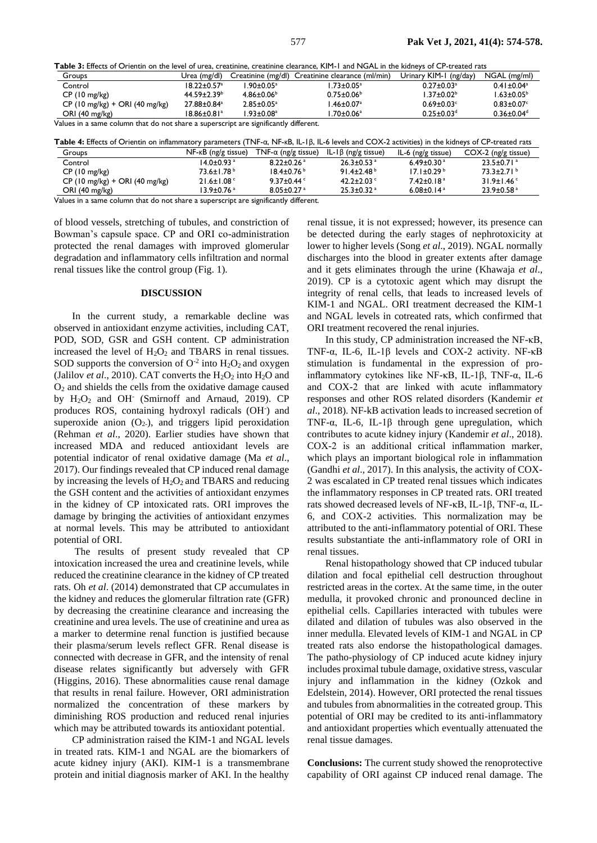**Table 3:** Effects of Orientin on the level of urea, creatinine, creatinine clearance, KIM-1 and NGAL in the kidneys of CP-treated rats

| Groups                                                                               | Urea (mg/dl)             |                             | Creatinine (mg/dl) Creatinine clearance (ml/min) | Urinary KIM-1 (ng/day)       | NGAL (mg/ml)                 |  |
|--------------------------------------------------------------------------------------|--------------------------|-----------------------------|--------------------------------------------------|------------------------------|------------------------------|--|
| Control                                                                              | $18.22 + 0.57a$          | $.90 \pm 0.05^{\mathrm{a}}$ | $1.73{\pm}0.05^a$                                | $0.27 \pm 0.03$ <sup>a</sup> | $0.41 \pm 0.04$ <sup>a</sup> |  |
| $CP(10 \text{ mg/kg})$                                                               | $44.59 \pm 2.39^{\circ}$ | $4.86 \pm 0.06^{\circ}$     | $0.75 \pm 0.06^{\circ}$                          | $1.37 \pm 0.02^b$            | $1.63 \pm 0.05^{\circ}$      |  |
| $CP(10 \text{ mg/kg}) + ORI(40 \text{ mg/kg})$                                       | 27.88±0.84 <sup>a</sup>  | $2.85 \pm 0.05^a$           | $.46 \pm 0.07$ <sup>a</sup>                      | $0.69 \pm 0.03$ °            | $0.83 \pm 0.07$ °            |  |
| ORI $(40 \text{ mg/kg})$                                                             | 18.86±0.81ª              | $.93 \pm 0.08$ <sup>a</sup> | $.70 \pm 0.06$ <sup>a</sup>                      | $0.25 \pm 0.03$ <sup>d</sup> | $0.36 \pm 0.04$ <sup>d</sup> |  |
| Values in a same column that do not share a superscript are significantly different. |                          |                             |                                                  |                              |                              |  |

| Table 4: Effects of Orientin on inflammatory parameters (TNF- $\alpha$ , NF- $\kappa$ B, IL-IB, IL-6 levels and COX-2 activities) in the kidneys of CP-treated rats |                                 |                             |                            |                              |                              |
|---------------------------------------------------------------------------------------------------------------------------------------------------------------------|---------------------------------|-----------------------------|----------------------------|------------------------------|------------------------------|
| Groups                                                                                                                                                              | $NF$ - $\kappa$ B (ng/g tissue) | TNF- $\alpha$ (ng/g tissue) | IL-Iβ (ng/g tissue)        | IL-6 (ng/g tissue)           | $COX-2$ (ng/g tissue)        |
| Control                                                                                                                                                             | $14.0 + 0.93$ <sup>a</sup>      | $8.22 + 0.26$ <sup>a</sup>  | $26.3 + 0.53$ <sup>a</sup> | $6.49 + 0.30$ <sup>a</sup>   | $23.5 + 0.71$ <sup>a</sup>   |
| $CP(10 \text{ mg/kg})$                                                                                                                                              | $73.6 + 1.78$ <sup>b</sup>      | $18.4 + 0.76^{\circ}$       | $91.4+2.48b$               | $17.1 + 0.29b$               | $73.3+2.71b$                 |
| $CP(10 \text{ mg/kg}) + ORI(40 \text{ mg/kg})$                                                                                                                      | $21.6 \pm 1.08$                 | 9.37 $\pm$ 0.44 $\degree$   | $42.2 + 2.03$              | $7.42 + 0.18a$               | $31.9 \pm 1.46$ <sup>c</sup> |
| ORI $(40 \text{ mg/kg})$                                                                                                                                            | 13.9+0.76 <sup>a</sup>          | $8.05 + 0.27$ <sup>a</sup>  | $25.3 + 0.32$ <sup>a</sup> | 6.08 $\pm$ 0.14 $\mathrm{a}$ | $23.9 \pm 0.58$ <sup>a</sup> |

Values in a same column that do not share a superscript are significantly different.

of blood vessels, stretching of tubules, and constriction of Bowman's capsule space. CP and ORI co-administration protected the renal damages with improved glomerular degradation and inflammatory cells infiltration and normal renal tissues like the control group (Fig. 1).

#### **DISCUSSION**

In the current study, a remarkable decline was observed in antioxidant enzyme activities, including CAT, POD, SOD, GSR and GSH content. CP administration increased the level of  $H_2O_2$  and TBARS in renal tissues. SOD supports the conversion of  $O^{-2}$  into  $H_2O_2$  and oxygen (Jalilov *et al.*, 2010). CAT converts the  $H_2O_2$  into  $H_2O$  and  $O<sub>2</sub>$  and shields the cells from the oxidative damage caused by H<sub>2</sub>O<sub>2</sub> and OH (Smirnoff and Arnaud, 2019). CP produces ROS, containing hydroxyl radicals (OH<sup>-</sup>) and superoxide anion  $(O_2)$ , and triggers lipid peroxidation (Rehman *et al*., 2020). Earlier studies have shown that increased MDA and reduced antioxidant levels are potential indicator of renal oxidative damage (Ma *et al*., 2017). Our findings revealed that CP induced renal damage by increasing the levels of  $H_2O_2$  and TBARS and reducing the GSH content and the activities of antioxidant enzymes in the kidney of CP intoxicated rats. ORI improves the damage by bringing the activities of antioxidant enzymes at normal levels. This may be attributed to antioxidant potential of ORI.

The results of present study revealed that CP intoxication increased the urea and creatinine levels, while reduced the creatinine clearance in the kidney of CP treated rats. Oh *et al*. (2014) demonstrated that CP accumulates in the kidney and reduces the glomerular filtration rate (GFR) by decreasing the creatinine clearance and increasing the creatinine and urea levels. The use of creatinine and urea as a marker to determine renal function is justified because their plasma/serum levels reflect GFR. Renal disease is connected with decrease in GFR, and the intensity of renal disease relates significantly but adversely with GFR (Higgins, 2016). These abnormalities cause renal damage that results in renal failure. However, ORI administration normalized the concentration of these markers by diminishing ROS production and reduced renal injuries which may be attributed towards its antioxidant potential.

CP administration raised the KIM-1 and NGAL levels in treated rats. KIM-1 and NGAL are the biomarkers of acute kidney injury (AKI). KIM-1 is a transmembrane protein and initial diagnosis marker of AKI. In the healthy

renal tissue, it is not expressed; however, its presence can be detected during the early stages of nephrotoxicity at lower to higher levels (Song *et al*., 2019). NGAL normally discharges into the blood in greater extents after damage and it gets eliminates through the urine (Khawaja *et al*., 2019). CP is a cytotoxic agent which may disrupt the integrity of renal cells, that leads to increased levels of KIM-1 and NGAL. ORI treatment decreased the KIM-1 and NGAL levels in cotreated rats, which confirmed that ORI treatment recovered the renal injuries.

In this study, CP administration increased the NF-κB, TNF-α, IL-6, IL-1β levels and COX-2 activity. NF-κB stimulation is fundamental in the expression of proinflammatory cytokines like NF-κB, IL-1β, TNF-α, IL-6 and COX-2 that are linked with acute inflammatory responses and other ROS related disorders (Kandemir *et al*., 2018). NF-kB activation leads to increased secretion of TNF-α, IL-6, IL-1β through gene upregulation, which contributes to acute kidney injury (Kandemir *et al*., 2018). COX-2 is an additional critical inflammation marker, which plays an important biological role in inflammation (Gandhi *et al*., 2017). In this analysis, the activity of COX-2 was escalated in CP treated renal tissues which indicates the inflammatory responses in CP treated rats. ORI treated rats showed decreased levels of NF-κB, IL-1β, TNF-α, IL-6, and COX-2 activities. This normalization may be attributed to the anti-inflammatory potential of ORI. These results substantiate the anti-inflammatory role of ORI in renal tissues.

Renal histopathology showed that CP induced tubular dilation and focal epithelial cell destruction throughout restricted areas in the cortex. At the same time, in the outer medulla, it provoked chronic and pronounced decline in epithelial cells. Capillaries interacted with tubules were dilated and dilation of tubules was also observed in the inner medulla. Elevated levels of KIM-1 and NGAL in CP treated rats also endorse the histopathological damages. The patho-physiology of CP induced acute kidney injury includes proximal tubule damage, oxidative stress, vascular injury and inflammation in the kidney (Ozkok and Edelstein, 2014). However, ORI protected the renal tissues and tubules from abnormalities in the cotreated group. This potential of ORI may be credited to its anti-inflammatory and antioxidant properties which eventually attenuated the renal tissue damages.

**Conclusions:** The current study showed the renoprotective capability of ORI against CP induced renal damage. The